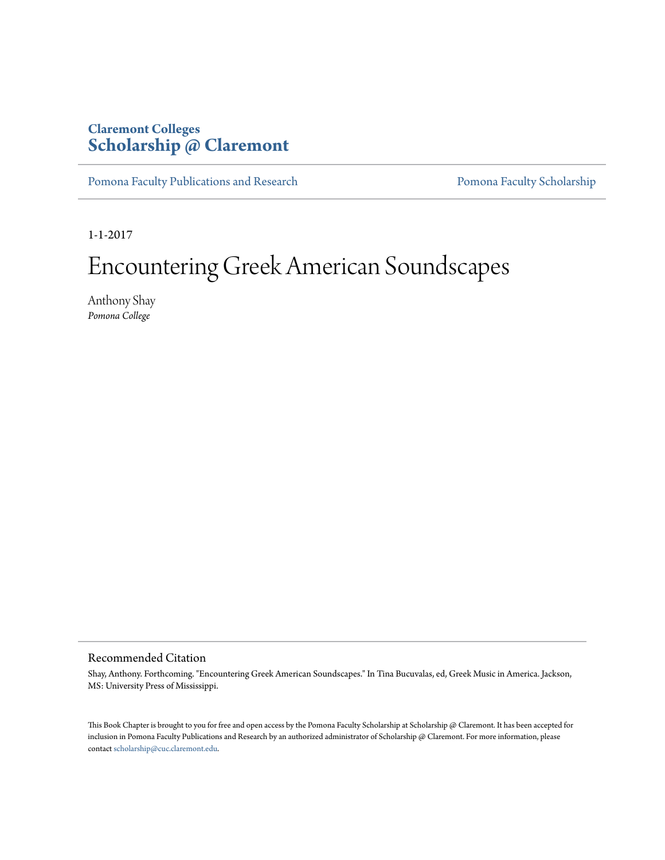## **Claremont Colleges [Scholarship @ Claremont](http://scholarship.claremont.edu)**

[Pomona Faculty Publications and Research](http://scholarship.claremont.edu/pomona_fac_pub) [Pomona Faculty Scholarship](http://scholarship.claremont.edu/pomona_faculty)

1-1-2017

# Encountering Greek American Soundscapes

Anthony Shay *Pomona College*

#### Recommended Citation

Shay, Anthony. Forthcoming. "Encountering Greek American Soundscapes." In Tina Bucuvalas, ed, Greek Music in America. Jackson, MS: University Press of Mississippi.

This Book Chapter is brought to you for free and open access by the Pomona Faculty Scholarship at Scholarship @ Claremont. It has been accepted for inclusion in Pomona Faculty Publications and Research by an authorized administrator of Scholarship @ Claremont. For more information, please contact [scholarship@cuc.claremont.edu](mailto:scholarship@cuc.claremont.edu).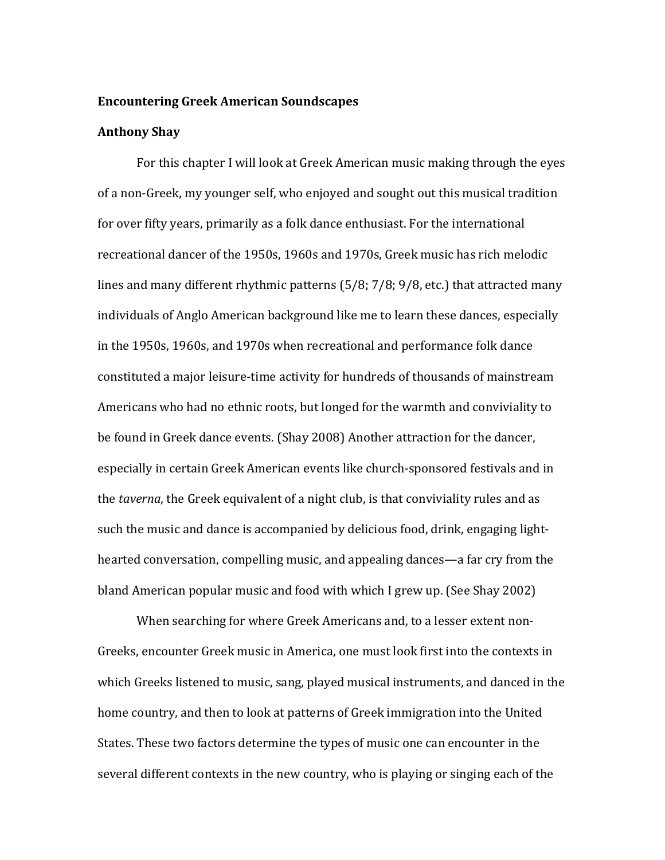### **Encountering Greek American Soundscapes**

#### **Anthony Shay**

For this chapter I will look at Greek American music making through the eyes of a non-Greek, my younger self, who enjoyed and sought out this musical tradition for over fifty years, primarily as a folk dance enthusiast. For the international recreational dancer of the 1950s, 1960s and 1970s, Greek music has rich melodic lines and many different rhythmic patterns (5/8; 7/8; 9/8, etc.) that attracted many individuals of Anglo American background like me to learn these dances, especially in the 1950s, 1960s, and 1970s when recreational and performance folk dance constituted a major leisure-time activity for hundreds of thousands of mainstream Americans who had no ethnic roots, but longed for the warmth and conviviality to be found in Greek dance events. (Shay 2008) Another attraction for the dancer, especially in certain Greek American events like church-sponsored festivals and in the *taverna*, the Greek equivalent of a night club, is that conviviality rules and as such the music and dance is accompanied by delicious food, drink, engaging lighthearted conversation, compelling music, and appealing dances—a far cry from the bland American popular music and food with which I grew up. (See Shay 2002)

When searching for where Greek Americans and, to a lesser extent non-Greeks, encounter Greek music in America, one must look first into the contexts in which Greeks listened to music, sang, played musical instruments, and danced in the home country, and then to look at patterns of Greek immigration into the United States. These two factors determine the types of music one can encounter in the several different contexts in the new country, who is playing or singing each of the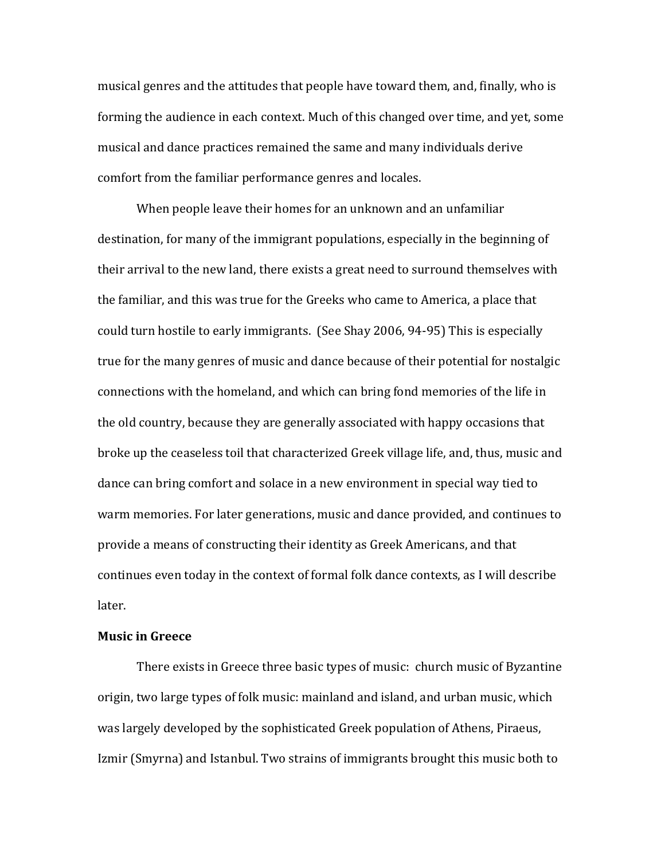musical genres and the attitudes that people have toward them, and, finally, who is forming the audience in each context. Much of this changed over time, and yet, some musical and dance practices remained the same and many individuals derive comfort from the familiar performance genres and locales.

When people leave their homes for an unknown and an unfamiliar destination, for many of the immigrant populations, especially in the beginning of their arrival to the new land, there exists a great need to surround themselves with the familiar, and this was true for the Greeks who came to America, a place that could turn hostile to early immigrants. (See Shay 2006, 94-95) This is especially true for the many genres of music and dance because of their potential for nostalgic connections with the homeland, and which can bring fond memories of the life in the old country, because they are generally associated with happy occasions that broke up the ceaseless toil that characterized Greek village life, and, thus, music and dance can bring comfort and solace in a new environment in special way tied to warm memories. For later generations, music and dance provided, and continues to provide a means of constructing their identity as Greek Americans, and that continues even today in the context of formal folk dance contexts, as I will describe later.

#### **Music in Greece**

There exists in Greece three basic types of music: church music of Byzantine origin, two large types of folk music: mainland and island, and urban music, which was largely developed by the sophisticated Greek population of Athens, Piraeus, Izmir (Smyrna) and Istanbul. Two strains of immigrants brought this music both to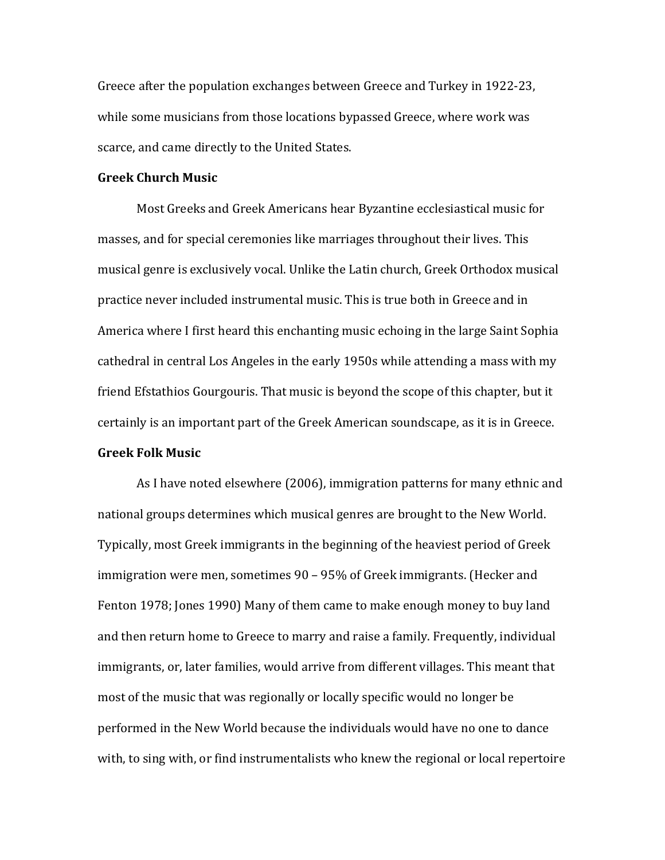Greece after the population exchanges between Greece and Turkey in 1922-23, while some musicians from those locations bypassed Greece, where work was scarce, and came directly to the United States.

#### **Greek Church Music**

Most Greeks and Greek Americans hear Byzantine ecclesiastical music for masses, and for special ceremonies like marriages throughout their lives. This musical genre is exclusively vocal. Unlike the Latin church, Greek Orthodox musical practice never included instrumental music. This is true both in Greece and in America where I first heard this enchanting music echoing in the large Saint Sophia cathedral in central Los Angeles in the early 1950s while attending a mass with my friend Efstathios Gourgouris. That music is beyond the scope of this chapter, but it certainly is an important part of the Greek American soundscape, as it is in Greece. **Greek Folk Music**

As I have noted elsewhere (2006), immigration patterns for many ethnic and national groups determines which musical genres are brought to the New World. Typically, most Greek immigrants in the beginning of the heaviest period of Greek immigration were men, sometimes 90 – 95% of Greek immigrants. (Hecker and Fenton 1978; Jones 1990) Many of them came to make enough money to buy land and then return home to Greece to marry and raise a family. Frequently, individual immigrants, or, later families, would arrive from different villages. This meant that most of the music that was regionally or locally specific would no longer be performed in the New World because the individuals would have no one to dance with, to sing with, or find instrumentalists who knew the regional or local repertoire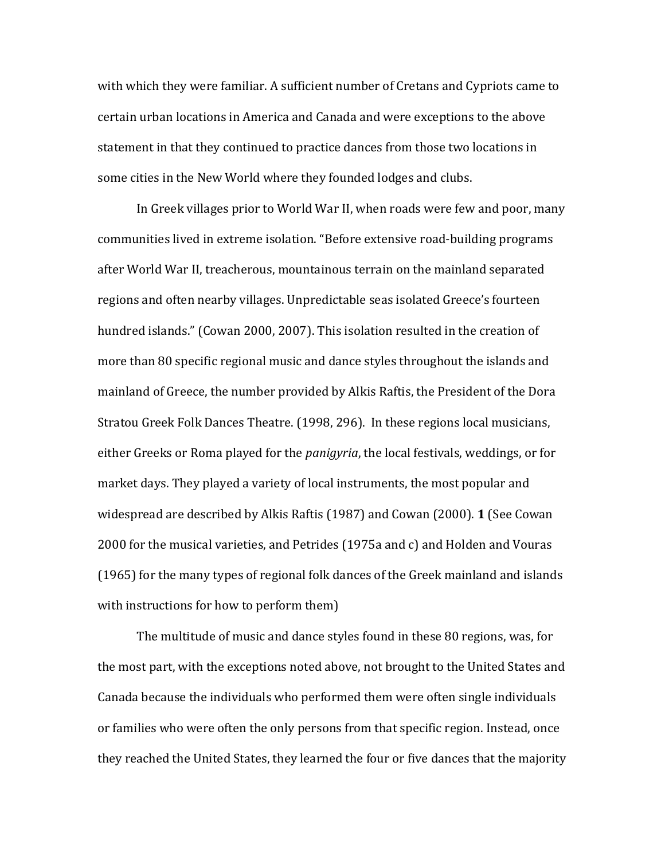with which they were familiar. A sufficient number of Cretans and Cypriots came to certain urban locations in America and Canada and were exceptions to the above statement in that they continued to practice dances from those two locations in some cities in the New World where they founded lodges and clubs.

In Greek villages prior to World War II, when roads were few and poor, many communities lived in extreme isolation. "Before extensive road-building programs after World War II, treacherous, mountainous terrain on the mainland separated regions and often nearby villages. Unpredictable seas isolated Greece's fourteen hundred islands." (Cowan 2000, 2007). This isolation resulted in the creation of more than 80 specific regional music and dance styles throughout the islands and mainland of Greece, the number provided by Alkis Raftis, the President of the Dora Stratou Greek Folk Dances Theatre. (1998, 296). In these regions local musicians, either Greeks or Roma played for the *panigyria*, the local festivals, weddings, or for market days. They played a variety of local instruments, the most popular and widespread are described by Alkis Raftis (1987) and Cowan (2000). **1** (See Cowan 2000 for the musical varieties, and Petrides (1975a and c) and Holden and Vouras (1965) for the many types of regional folk dances of the Greek mainland and islands with instructions for how to perform them)

The multitude of music and dance styles found in these 80 regions, was, for the most part, with the exceptions noted above, not brought to the United States and Canada because the individuals who performed them were often single individuals or families who were often the only persons from that specific region. Instead, once they reached the United States, they learned the four or five dances that the majority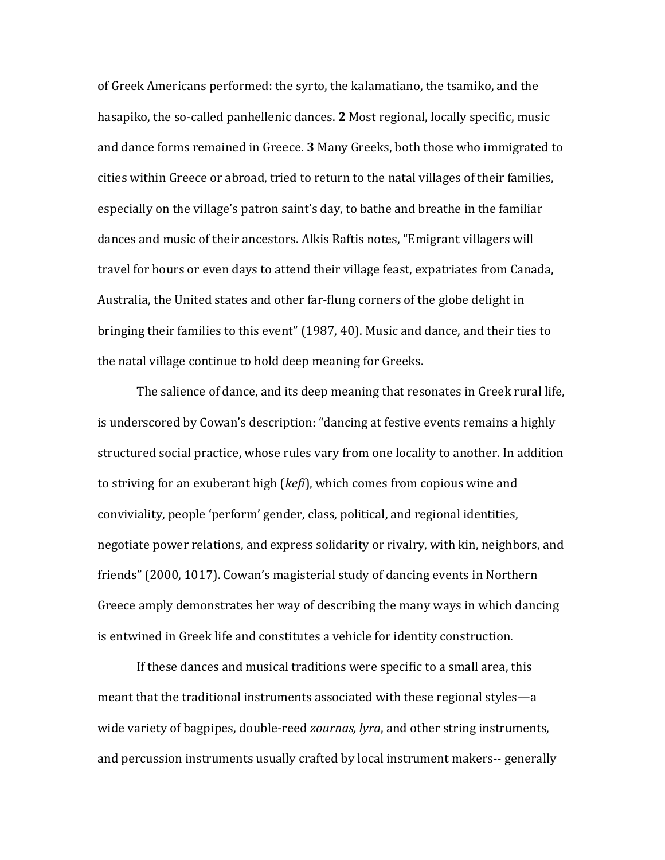of Greek Americans performed: the syrto, the kalamatiano, the tsamiko, and the hasapiko, the so-called panhellenic dances. **2** Most regional, locally specific, music and dance forms remained in Greece. **3** Many Greeks, both those who immigrated to cities within Greece or abroad, tried to return to the natal villages of their families, especially on the village's patron saint's day, to bathe and breathe in the familiar dances and music of their ancestors. Alkis Raftis notes, "Emigrant villagers will travel for hours or even days to attend their village feast, expatriates from Canada, Australia, the United states and other far-flung corners of the globe delight in bringing their families to this event" (1987, 40). Music and dance, and their ties to the natal village continue to hold deep meaning for Greeks.

The salience of dance, and its deep meaning that resonates in Greek rural life, is underscored by Cowan's description: "dancing at festive events remains a highly structured social practice, whose rules vary from one locality to another. In addition to striving for an exuberant high (*kefi*), which comes from copious wine and conviviality, people 'perform' gender, class, political, and regional identities, negotiate power relations, and express solidarity or rivalry, with kin, neighbors, and friends" (2000, 1017). Cowan's magisterial study of dancing events in Northern Greece amply demonstrates her way of describing the many ways in which dancing is entwined in Greek life and constitutes a vehicle for identity construction.

If these dances and musical traditions were specific to a small area, this meant that the traditional instruments associated with these regional styles—a wide variety of bagpipes, double-reed *zournas, lyra*, and other string instruments, and percussion instruments usually crafted by local instrument makers-- generally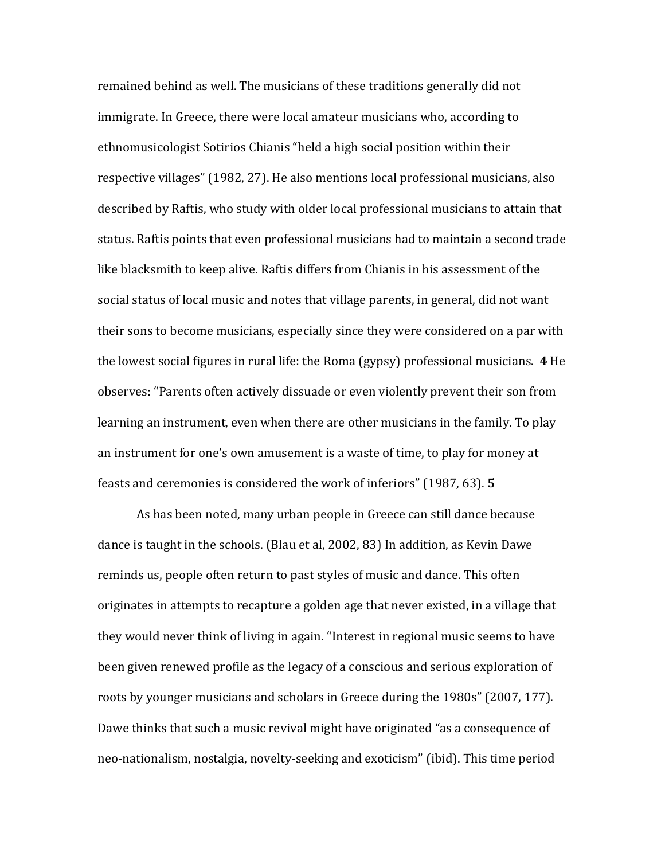remained behind as well. The musicians of these traditions generally did not immigrate. In Greece, there were local amateur musicians who, according to ethnomusicologist Sotirios Chianis "held a high social position within their respective villages" (1982, 27). He also mentions local professional musicians, also described by Raftis, who study with older local professional musicians to attain that status. Raftis points that even professional musicians had to maintain a second trade like blacksmith to keep alive. Raftis differs from Chianis in his assessment of the social status of local music and notes that village parents, in general, did not want their sons to become musicians, especially since they were considered on a par with the lowest social figures in rural life: the Roma (gypsy) professional musicians. **4** He observes: "Parents often actively dissuade or even violently prevent their son from learning an instrument, even when there are other musicians in the family. To play an instrument for one's own amusement is a waste of time, to play for money at feasts and ceremonies is considered the work of inferiors" (1987, 63). **5**

As has been noted, many urban people in Greece can still dance because dance is taught in the schools. (Blau et al, 2002, 83) In addition, as Kevin Dawe reminds us, people often return to past styles of music and dance. This often originates in attempts to recapture a golden age that never existed, in a village that they would never think of living in again. "Interest in regional music seems to have been given renewed profile as the legacy of a conscious and serious exploration of roots by younger musicians and scholars in Greece during the 1980s" (2007, 177). Dawe thinks that such a music revival might have originated "as a consequence of neo-nationalism, nostalgia, novelty-seeking and exoticism" (ibid). This time period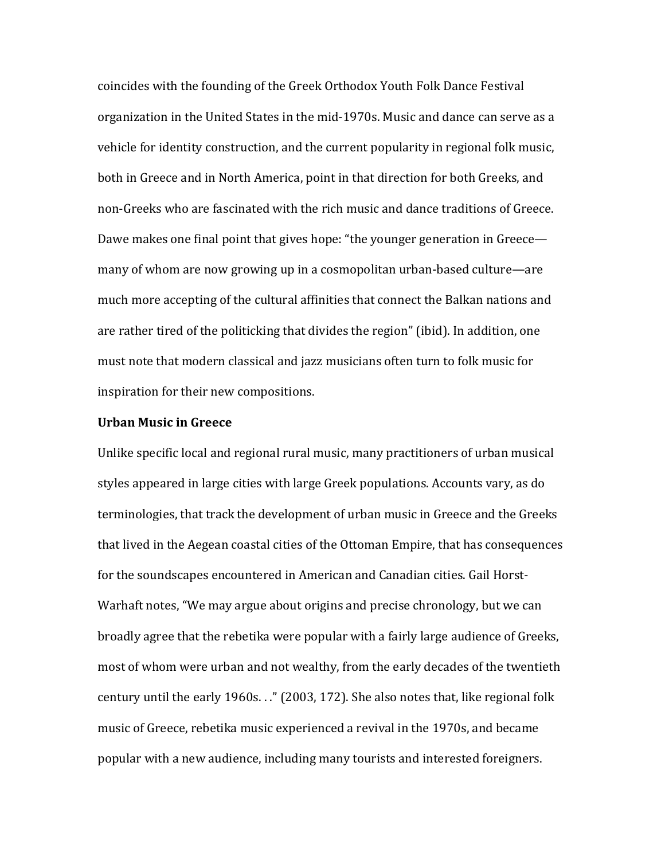coincides with the founding of the Greek Orthodox Youth Folk Dance Festival organization in the United States in the mid-1970s. Music and dance can serve as a vehicle for identity construction, and the current popularity in regional folk music, both in Greece and in North America, point in that direction for both Greeks, and non-Greeks who are fascinated with the rich music and dance traditions of Greece. Dawe makes one final point that gives hope: "the younger generation in Greece many of whom are now growing up in a cosmopolitan urban-based culture—are much more accepting of the cultural affinities that connect the Balkan nations and are rather tired of the politicking that divides the region" (ibid). In addition, one must note that modern classical and jazz musicians often turn to folk music for inspiration for their new compositions.

#### **Urban Music in Greece**

Unlike specific local and regional rural music, many practitioners of urban musical styles appeared in large cities with large Greek populations. Accounts vary, as do terminologies, that track the development of urban music in Greece and the Greeks that lived in the Aegean coastal cities of the Ottoman Empire, that has consequences for the soundscapes encountered in American and Canadian cities. Gail Horst-Warhaft notes, "We may argue about origins and precise chronology, but we can broadly agree that the rebetika were popular with a fairly large audience of Greeks, most of whom were urban and not wealthy, from the early decades of the twentieth century until the early 1960s. . ." (2003, 172). She also notes that, like regional folk music of Greece, rebetika music experienced a revival in the 1970s, and became popular with a new audience, including many tourists and interested foreigners.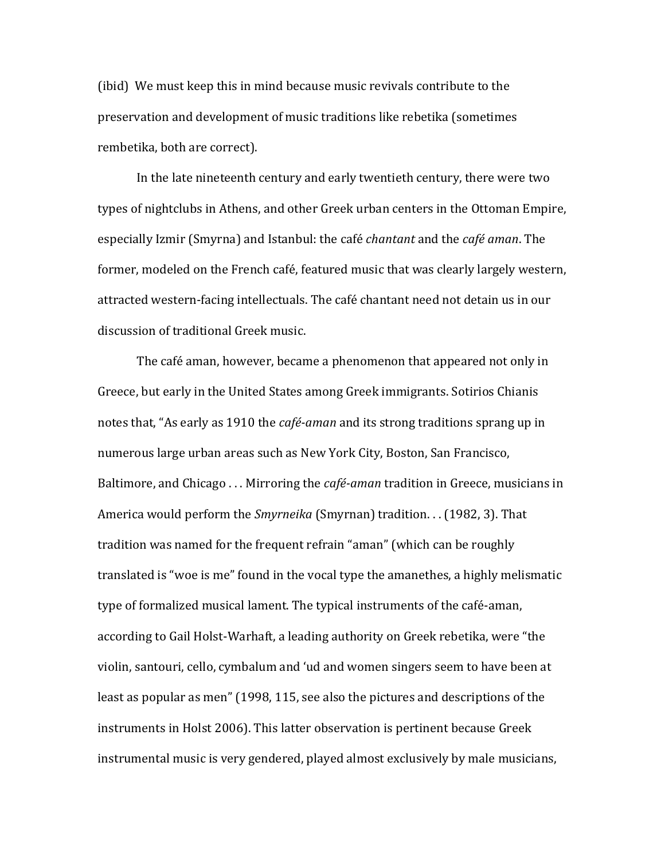(ibid) We must keep this in mind because music revivals contribute to the preservation and development of music traditions like rebetika (sometimes rembetika, both are correct).

In the late nineteenth century and early twentieth century, there were two types of nightclubs in Athens, and other Greek urban centers in the Ottoman Empire, especially Izmir (Smyrna) and Istanbul: the café *chantant* and the *café aman*. The former, modeled on the French café, featured music that was clearly largely western, attracted western-facing intellectuals. The café chantant need not detain us in our discussion of traditional Greek music.

The café aman, however, became a phenomenon that appeared not only in Greece, but early in the United States among Greek immigrants. Sotirios Chianis notes that, "As early as 1910 the *café-aman* and its strong traditions sprang up in numerous large urban areas such as New York City, Boston, San Francisco, Baltimore, and Chicago . . . Mirroring the *café-aman* tradition in Greece, musicians in America would perform the *Smyrneika* (Smyrnan) tradition. . . (1982, 3). That tradition was named for the frequent refrain "aman" (which can be roughly translated is "woe is me" found in the vocal type the amanethes, a highly melismatic type of formalized musical lament. The typical instruments of the café-aman, according to Gail Holst-Warhaft, a leading authority on Greek rebetika, were "the violin, santouri, cello, cymbalum and 'ud and women singers seem to have been at least as popular as men" (1998, 115, see also the pictures and descriptions of the instruments in Holst 2006). This latter observation is pertinent because Greek instrumental music is very gendered, played almost exclusively by male musicians,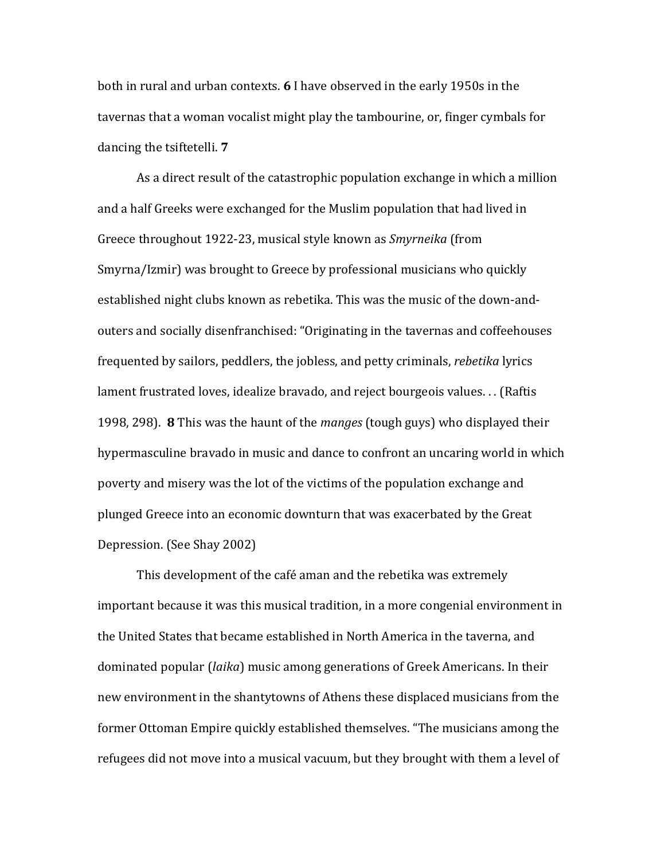both in rural and urban contexts. **6** I have observed in the early 1950s in the tavernas that a woman vocalist might play the tambourine, or, finger cymbals for dancing the tsiftetelli. **7**

As a direct result of the catastrophic population exchange in which a million and a half Greeks were exchanged for the Muslim population that had lived in Greece throughout 1922-23, musical style known as *Smyrneika* (from Smyrna/Izmir) was brought to Greece by professional musicians who quickly established night clubs known as rebetika. This was the music of the down-andouters and socially disenfranchised: "Originating in the tavernas and coffeehouses frequented by sailors, peddlers, the jobless, and petty criminals, *rebetika* lyrics lament frustrated loves, idealize bravado, and reject bourgeois values. . . (Raftis 1998, 298). **8** This was the haunt of the *manges* (tough guys) who displayed their hypermasculine bravado in music and dance to confront an uncaring world in which poverty and misery was the lot of the victims of the population exchange and plunged Greece into an economic downturn that was exacerbated by the Great Depression. (See Shay 2002)

This development of the café aman and the rebetika was extremely important because it was this musical tradition, in a more congenial environment in the United States that became established in North America in the taverna, and dominated popular (*laika*) music among generations of Greek Americans. In their new environment in the shantytowns of Athens these displaced musicians from the former Ottoman Empire quickly established themselves. "The musicians among the refugees did not move into a musical vacuum, but they brought with them a level of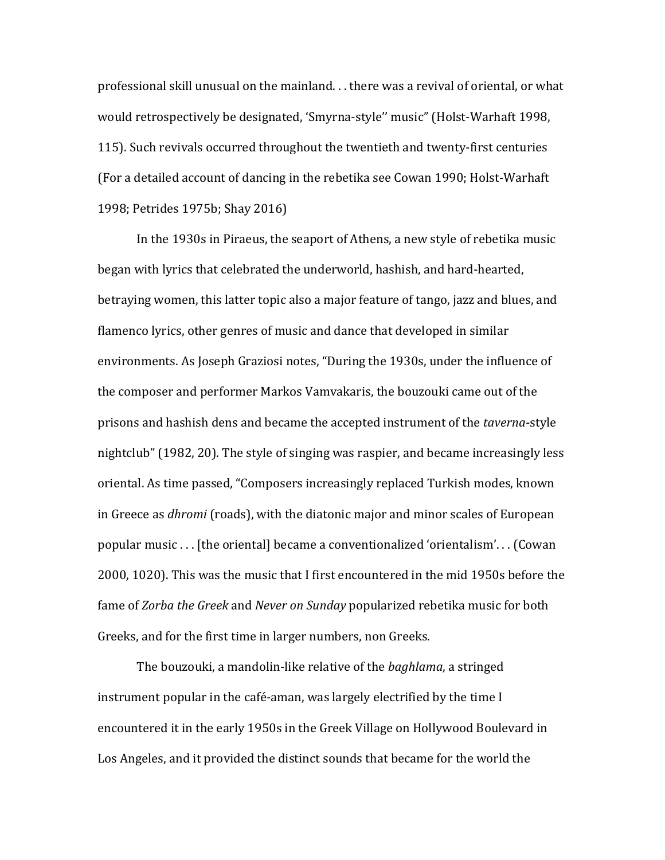professional skill unusual on the mainland. . . there was a revival of oriental, or what would retrospectively be designated, 'Smyrna-style'' music" (Holst-Warhaft 1998, 115). Such revivals occurred throughout the twentieth and twenty-first centuries (For a detailed account of dancing in the rebetika see Cowan 1990; Holst-Warhaft 1998; Petrides 1975b; Shay 2016)

In the 1930s in Piraeus, the seaport of Athens, a new style of rebetika music began with lyrics that celebrated the underworld, hashish, and hard-hearted, betraying women, this latter topic also a major feature of tango, jazz and blues, and flamenco lyrics, other genres of music and dance that developed in similar environments. As Joseph Graziosi notes, "During the 1930s, under the influence of the composer and performer Markos Vamvakaris, the bouzouki came out of the prisons and hashish dens and became the accepted instrument of the *taverna*-style nightclub" (1982, 20). The style of singing was raspier, and became increasingly less oriental. As time passed, "Composers increasingly replaced Turkish modes, known in Greece as *dhromi* (roads), with the diatonic major and minor scales of European popular music . . . [the oriental] became a conventionalized 'orientalism'. . . (Cowan 2000, 1020). This was the music that I first encountered in the mid 1950s before the fame of *Zorba the Greek* and *Never on Sunday* popularized rebetika music for both Greeks, and for the first time in larger numbers, non Greeks.

The bouzouki, a mandolin-like relative of the *baghlama*, a stringed instrument popular in the café-aman, was largely electrified by the time I encountered it in the early 1950s in the Greek Village on Hollywood Boulevard in Los Angeles, and it provided the distinct sounds that became for the world the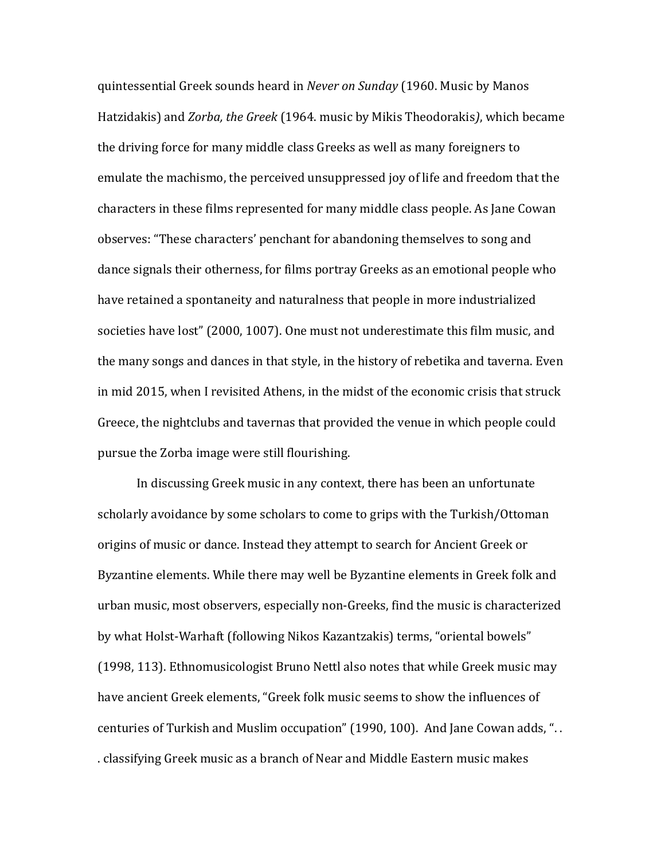quintessential Greek sounds heard in *Never on Sunday* (1960. Music by Manos Hatzidakis) and *Zorba, the Greek* (1964. music by Mikis Theodorakis*)*, which became the driving force for many middle class Greeks as well as many foreigners to emulate the machismo, the perceived unsuppressed joy of life and freedom that the characters in these films represented for many middle class people. As Jane Cowan observes: "These characters' penchant for abandoning themselves to song and dance signals their otherness, for films portray Greeks as an emotional people who have retained a spontaneity and naturalness that people in more industrialized societies have lost" (2000, 1007). One must not underestimate this film music, and the many songs and dances in that style, in the history of rebetika and taverna. Even in mid 2015, when I revisited Athens, in the midst of the economic crisis that struck Greece, the nightclubs and tavernas that provided the venue in which people could pursue the Zorba image were still flourishing.

In discussing Greek music in any context, there has been an unfortunate scholarly avoidance by some scholars to come to grips with the Turkish/Ottoman origins of music or dance. Instead they attempt to search for Ancient Greek or Byzantine elements. While there may well be Byzantine elements in Greek folk and urban music, most observers, especially non-Greeks, find the music is characterized by what Holst-Warhaft (following Nikos Kazantzakis) terms, "oriental bowels" (1998, 113). Ethnomusicologist Bruno Nettl also notes that while Greek music may have ancient Greek elements, "Greek folk music seems to show the influences of centuries of Turkish and Muslim occupation" (1990, 100). And Jane Cowan adds, ". . . classifying Greek music as a branch of Near and Middle Eastern music makes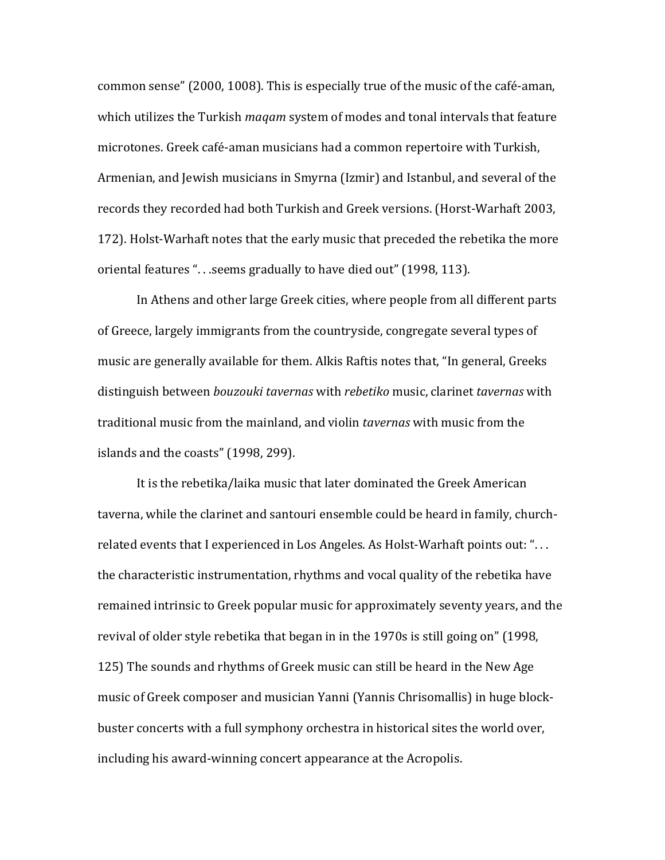common sense" (2000, 1008). This is especially true of the music of the café-aman, which utilizes the Turkish *maqam* system of modes and tonal intervals that feature microtones. Greek café-aman musicians had a common repertoire with Turkish, Armenian, and Jewish musicians in Smyrna (Izmir) and Istanbul, and several of the records they recorded had both Turkish and Greek versions. (Horst-Warhaft 2003, 172). Holst-Warhaft notes that the early music that preceded the rebetika the more oriental features ". . .seems gradually to have died out" (1998, 113).

In Athens and other large Greek cities, where people from all different parts of Greece, largely immigrants from the countryside, congregate several types of music are generally available for them. Alkis Raftis notes that, "In general, Greeks distinguish between *bouzouki tavernas* with *rebetiko* music, clarinet *tavernas* with traditional music from the mainland, and violin *tavernas* with music from the islands and the coasts" (1998, 299).

It is the rebetika/laika music that later dominated the Greek American taverna, while the clarinet and santouri ensemble could be heard in family, churchrelated events that I experienced in Los Angeles. As Holst-Warhaft points out: ". . . the characteristic instrumentation, rhythms and vocal quality of the rebetika have remained intrinsic to Greek popular music for approximately seventy years, and the revival of older style rebetika that began in in the 1970s is still going on" (1998, 125) The sounds and rhythms of Greek music can still be heard in the New Age music of Greek composer and musician Yanni (Yannis Chrisomallis) in huge blockbuster concerts with a full symphony orchestra in historical sites the world over, including his award-winning concert appearance at the Acropolis.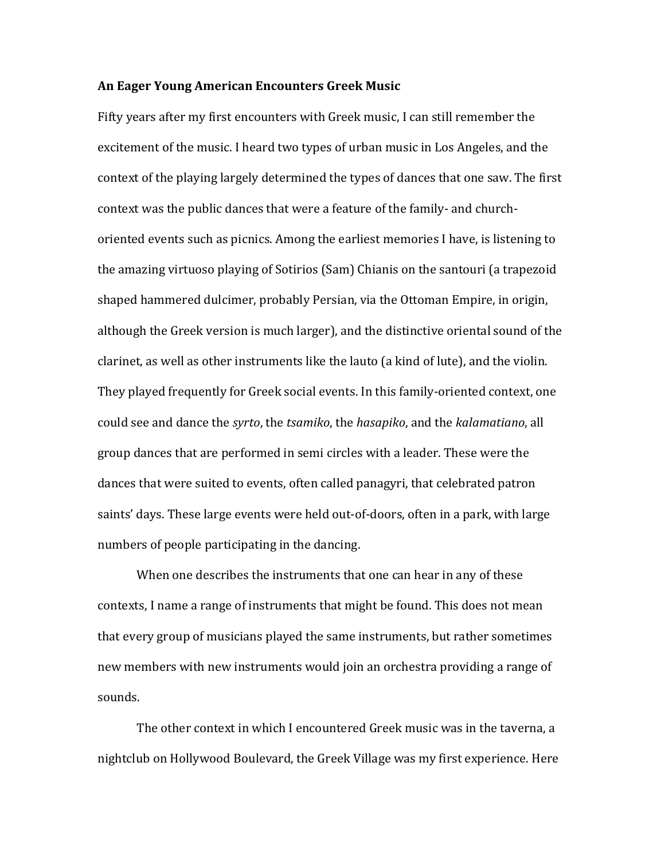#### **An Eager Young American Encounters Greek Music**

Fifty years after my first encounters with Greek music, I can still remember the excitement of the music. I heard two types of urban music in Los Angeles, and the context of the playing largely determined the types of dances that one saw. The first context was the public dances that were a feature of the family- and churchoriented events such as picnics. Among the earliest memories I have, is listening to the amazing virtuoso playing of Sotirios (Sam) Chianis on the santouri (a trapezoid shaped hammered dulcimer, probably Persian, via the Ottoman Empire, in origin, although the Greek version is much larger), and the distinctive oriental sound of the clarinet, as well as other instruments like the lauto (a kind of lute), and the violin. They played frequently for Greek social events. In this family-oriented context, one could see and dance the *syrto*, the *tsamiko*, the *hasapiko*, and the *kalamatiano*, all group dances that are performed in semi circles with a leader. These were the dances that were suited to events, often called panagyri, that celebrated patron saints' days. These large events were held out-of-doors, often in a park, with large numbers of people participating in the dancing.

When one describes the instruments that one can hear in any of these contexts, I name a range of instruments that might be found. This does not mean that every group of musicians played the same instruments, but rather sometimes new members with new instruments would join an orchestra providing a range of sounds.

The other context in which I encountered Greek music was in the taverna, a nightclub on Hollywood Boulevard, the Greek Village was my first experience. Here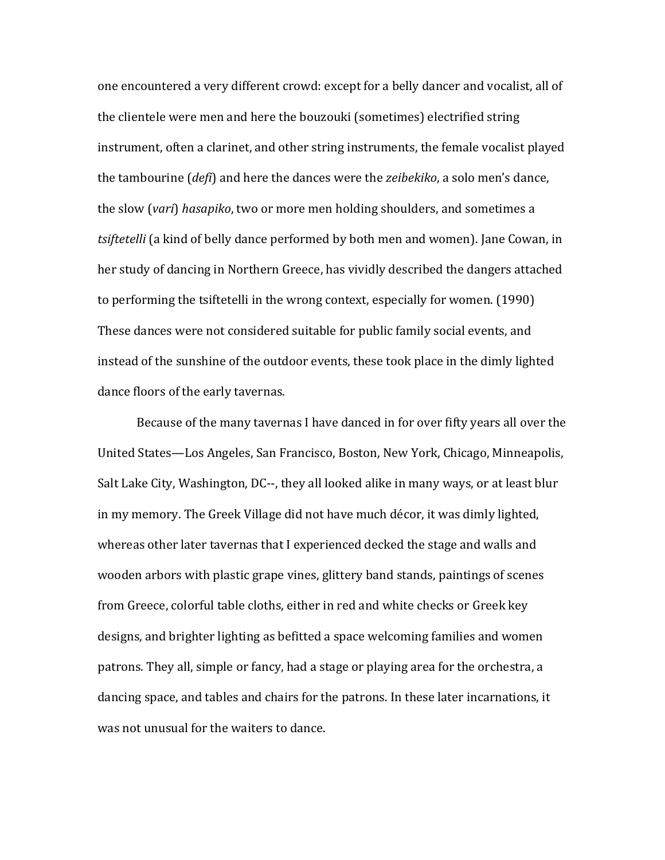one encountered a very different crowd: except for a belly dancer and vocalist, all of the clientele were men and here the bouzouki (sometimes) electrified string instrument, often a clarinet, and other string instruments, the female vocalist played the tambourine (*defi*) and here the dances were the *zeibekiko*, a solo men's dance, the slow (*vari*) *hasapiko*, two or more men holding shoulders, and sometimes a *tsiftetelli* (a kind of belly dance performed by both men and women). Jane Cowan, in her study of dancing in Northern Greece, has vividly described the dangers attached to performing the tsiftetelli in the wrong context, especially for women. (1990) These dances were not considered suitable for public family social events, and instead of the sunshine of the outdoor events, these took place in the dimly lighted dance floors of the early tavernas.

Because of the many tavernas I have danced in for over fifty years all over the United States—Los Angeles, San Francisco, Boston, New York, Chicago, Minneapolis, Salt Lake City, Washington, DC--, they all looked alike in many ways, or at least blur in my memory. The Greek Village did not have much décor, it was dimly lighted, whereas other later tavernas that I experienced decked the stage and walls and wooden arbors with plastic grape vines, glittery band stands, paintings of scenes from Greece, colorful table cloths, either in red and white checks or Greek key designs, and brighter lighting as befitted a space welcoming families and women patrons. They all, simple or fancy, had a stage or playing area for the orchestra, a dancing space, and tables and chairs for the patrons. In these later incarnations, it was not unusual for the waiters to dance.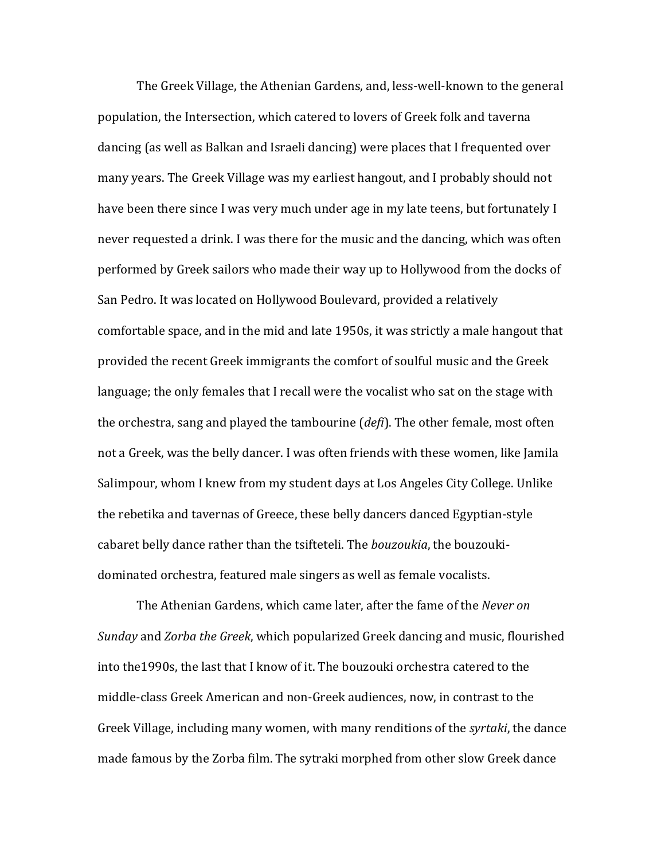The Greek Village, the Athenian Gardens, and, less-well-known to the general population, the Intersection, which catered to lovers of Greek folk and taverna dancing (as well as Balkan and Israeli dancing) were places that I frequented over many years. The Greek Village was my earliest hangout, and I probably should not have been there since I was very much under age in my late teens, but fortunately I never requested a drink. I was there for the music and the dancing, which was often performed by Greek sailors who made their way up to Hollywood from the docks of San Pedro. It was located on Hollywood Boulevard, provided a relatively comfortable space, and in the mid and late 1950s, it was strictly a male hangout that provided the recent Greek immigrants the comfort of soulful music and the Greek language; the only females that I recall were the vocalist who sat on the stage with the orchestra, sang and played the tambourine (*defi*). The other female, most often not a Greek, was the belly dancer. I was often friends with these women, like Jamila Salimpour, whom I knew from my student days at Los Angeles City College. Unlike the rebetika and tavernas of Greece, these belly dancers danced Egyptian-style cabaret belly dance rather than the tsifteteli. The *bouzoukia*, the bouzoukidominated orchestra, featured male singers as well as female vocalists.

The Athenian Gardens, which came later, after the fame of the *Never on Sunday* and *Zorba the Greek*, which popularized Greek dancing and music, flourished into the1990s, the last that I know of it. The bouzouki orchestra catered to the middle-class Greek American and non-Greek audiences, now, in contrast to the Greek Village, including many women, with many renditions of the *syrtaki*, the dance made famous by the Zorba film. The sytraki morphed from other slow Greek dance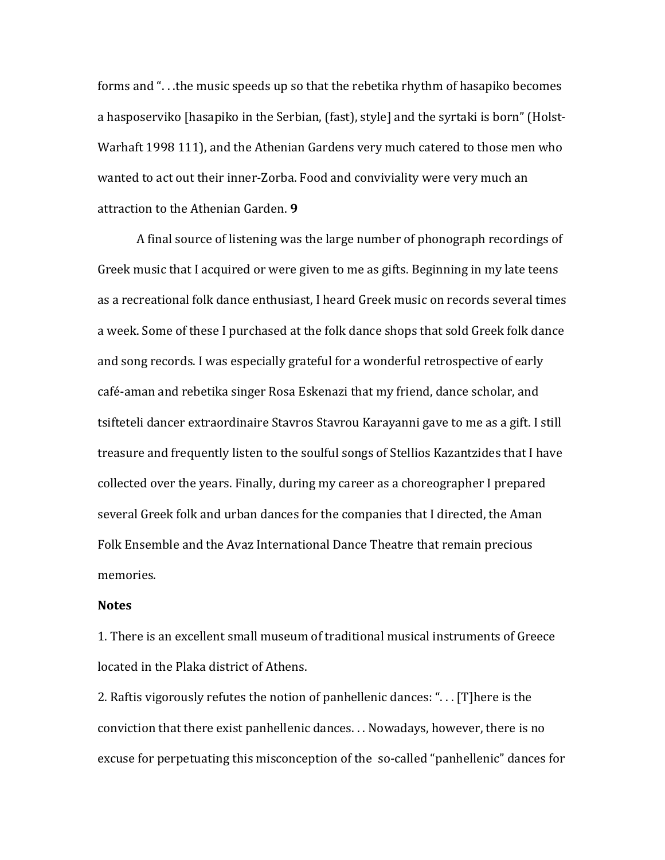forms and ". . .the music speeds up so that the rebetika rhythm of hasapiko becomes a hasposerviko [hasapiko in the Serbian, (fast), style] and the syrtaki is born" (Holst-Warhaft 1998 111), and the Athenian Gardens very much catered to those men who wanted to act out their inner-Zorba. Food and conviviality were very much an attraction to the Athenian Garden. **9**

A final source of listening was the large number of phonograph recordings of Greek music that I acquired or were given to me as gifts. Beginning in my late teens as a recreational folk dance enthusiast, I heard Greek music on records several times a week. Some of these I purchased at the folk dance shops that sold Greek folk dance and song records. I was especially grateful for a wonderful retrospective of early café-aman and rebetika singer Rosa Eskenazi that my friend, dance scholar, and tsifteteli dancer extraordinaire Stavros Stavrou Karayanni gave to me as a gift. I still treasure and frequently listen to the soulful songs of Stellios Kazantzides that I have collected over the years. Finally, during my career as a choreographer I prepared several Greek folk and urban dances for the companies that I directed, the Aman Folk Ensemble and the Avaz International Dance Theatre that remain precious memories.

#### **Notes**

1. There is an excellent small museum of traditional musical instruments of Greece located in the Plaka district of Athens.

2. Raftis vigorously refutes the notion of panhellenic dances: ". . . [T]here is the conviction that there exist panhellenic dances. . . Nowadays, however, there is no excuse for perpetuating this misconception of the so-called "panhellenic" dances for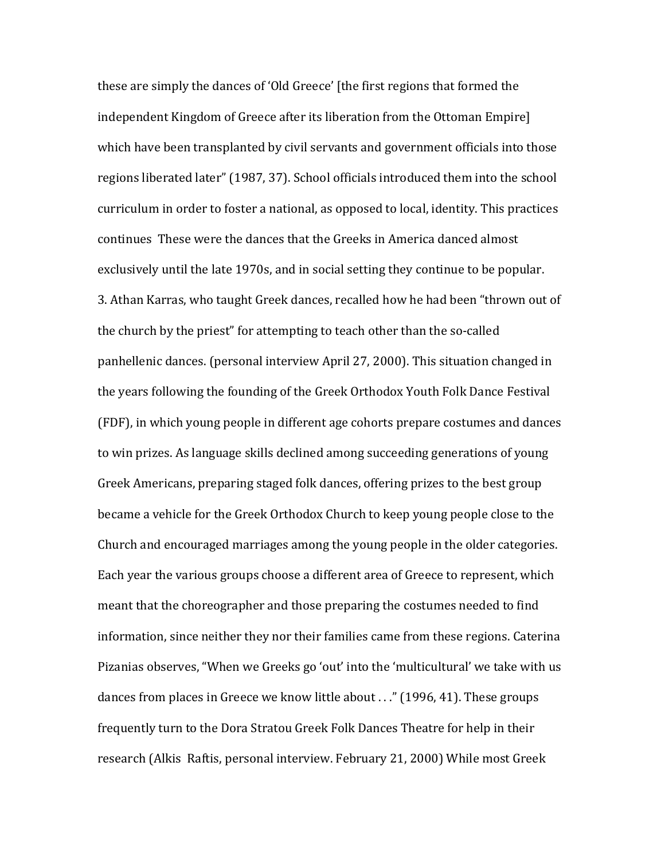these are simply the dances of 'Old Greece' [the first regions that formed the independent Kingdom of Greece after its liberation from the Ottoman Empire] which have been transplanted by civil servants and government officials into those regions liberated later" (1987, 37). School officials introduced them into the school curriculum in order to foster a national, as opposed to local, identity. This practices continues These were the dances that the Greeks in America danced almost exclusively until the late 1970s, and in social setting they continue to be popular. 3. Athan Karras, who taught Greek dances, recalled how he had been "thrown out of the church by the priest" for attempting to teach other than the so-called panhellenic dances. (personal interview April 27, 2000). This situation changed in the years following the founding of the Greek Orthodox Youth Folk Dance Festival (FDF), in which young people in different age cohorts prepare costumes and dances to win prizes. As language skills declined among succeeding generations of young Greek Americans, preparing staged folk dances, offering prizes to the best group became a vehicle for the Greek Orthodox Church to keep young people close to the Church and encouraged marriages among the young people in the older categories. Each year the various groups choose a different area of Greece to represent, which meant that the choreographer and those preparing the costumes needed to find information, since neither they nor their families came from these regions. Caterina Pizanias observes, "When we Greeks go 'out' into the 'multicultural' we take with us dances from places in Greece we know little about . . ." (1996, 41). These groups frequently turn to the Dora Stratou Greek Folk Dances Theatre for help in their research (Alkis Raftis, personal interview. February 21, 2000) While most Greek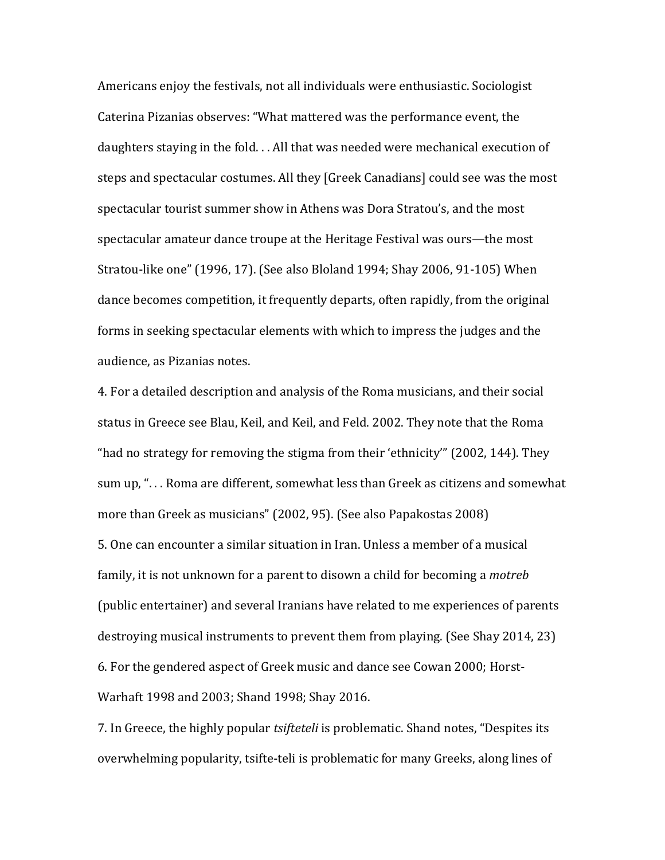Americans enjoy the festivals, not all individuals were enthusiastic. Sociologist Caterina Pizanias observes: "What mattered was the performance event, the daughters staying in the fold. . . All that was needed were mechanical execution of steps and spectacular costumes. All they [Greek Canadians] could see was the most spectacular tourist summer show in Athens was Dora Stratou's, and the most spectacular amateur dance troupe at the Heritage Festival was ours—the most Stratou-like one" (1996, 17). (See also Bloland 1994; Shay 2006, 91-105) When dance becomes competition, it frequently departs, often rapidly, from the original forms in seeking spectacular elements with which to impress the judges and the audience, as Pizanias notes.

4. For a detailed description and analysis of the Roma musicians, and their social status in Greece see Blau, Keil, and Keil, and Feld. 2002. They note that the Roma "had no strategy for removing the stigma from their 'ethnicity'" (2002, 144). They sum up, ". . . Roma are different, somewhat less than Greek as citizens and somewhat more than Greek as musicians" (2002, 95). (See also Papakostas 2008) 5. One can encounter a similar situation in Iran. Unless a member of a musical family, it is not unknown for a parent to disown a child for becoming a *motreb*  (public entertainer) and several Iranians have related to me experiences of parents destroying musical instruments to prevent them from playing. (See Shay 2014, 23) 6. For the gendered aspect of Greek music and dance see Cowan 2000; Horst-Warhaft 1998 and 2003; Shand 1998; Shay 2016.

7. In Greece, the highly popular *tsifteteli* is problematic. Shand notes, "Despites its overwhelming popularity, tsifte-teli is problematic for many Greeks, along lines of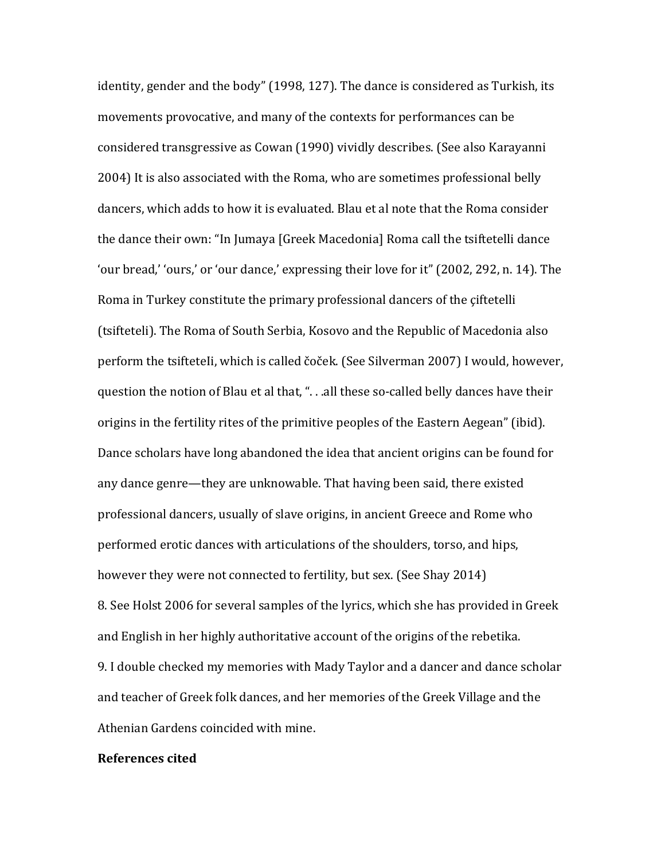identity, gender and the body" (1998, 127). The dance is considered as Turkish, its movements provocative, and many of the contexts for performances can be considered transgressive as Cowan (1990) vividly describes. (See also Karayanni 2004) It is also associated with the Roma, who are sometimes professional belly dancers, which adds to how it is evaluated. Blau et al note that the Roma consider the dance their own: "In Jumaya [Greek Macedonia] Roma call the tsiftetelli dance 'our bread,' 'ours,' or 'our dance,' expressing their love for it" (2002, 292, n. 14). The Roma in Turkey constitute the primary professional dancers of the çiftetelli (tsifteteli). The Roma of South Serbia, Kosovo and the Republic of Macedonia also perform the tsifteteIi, which is called čoček. (See Silverman 2007) I would, however, question the notion of Blau et al that, ". . .all these so-called belly dances have their origins in the fertility rites of the primitive peoples of the Eastern Aegean" (ibid). Dance scholars have long abandoned the idea that ancient origins can be found for any dance genre—they are unknowable. That having been said, there existed professional dancers, usually of slave origins, in ancient Greece and Rome who performed erotic dances with articulations of the shoulders, torso, and hips, however they were not connected to fertility, but sex. (See Shay 2014) 8. See Holst 2006 for several samples of the lyrics, which she has provided in Greek and English in her highly authoritative account of the origins of the rebetika. 9. I double checked my memories with Mady Taylor and a dancer and dance scholar and teacher of Greek folk dances, and her memories of the Greek Village and the Athenian Gardens coincided with mine.

#### **References cited**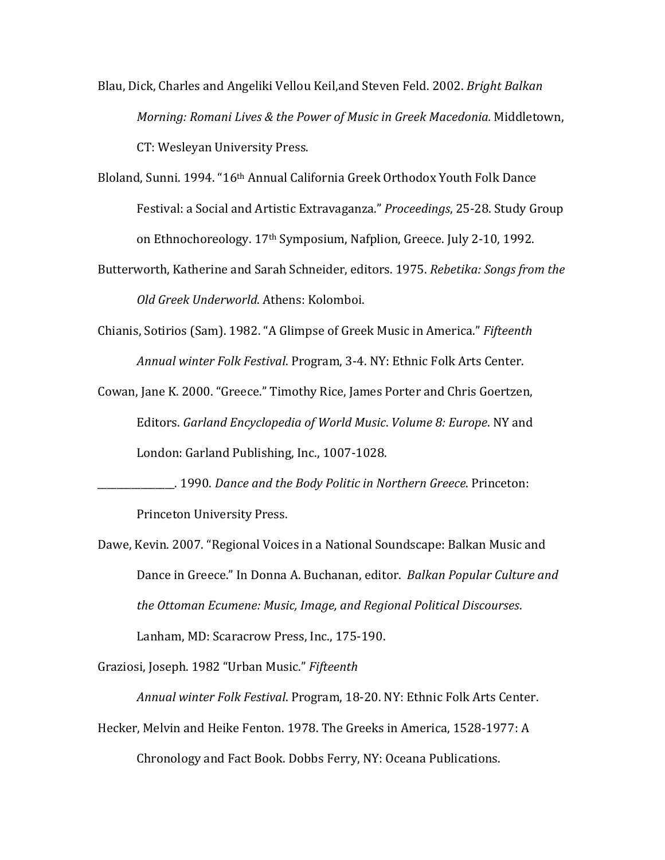- Blau, Dick, Charles and Angeliki Vellou Keil,and Steven Feld. 2002. *Bright Balkan Morning: Romani Lives & the Power of Music in Greek Macedonia.* Middletown, CT: Wesleyan University Press.
- Bloland, Sunni. 1994. "16th Annual California Greek Orthodox Youth Folk Dance Festival: a Social and Artistic Extravaganza." *Proceedings*, 25-28. Study Group on Ethnochoreology. 17th Symposium, Nafplion, Greece. July 2-10, 1992.
- Butterworth, Katherine and Sarah Schneider, editors. 1975. *Rebetika: Songs from the Old Greek Underworld*. Athens: Kolomboi.
- Chianis, Sotirios (Sam). 1982. "A Glimpse of Greek Music in America." *Fifteenth Annual winter Folk Festival*. Program, 3-4. NY: Ethnic Folk Arts Center.
- Cowan, Jane K. 2000. "Greece." Timothy Rice, James Porter and Chris Goertzen, Editors. *Garland Encyclopedia of World Music*. *Volume 8: Europe*. NY and London: Garland Publishing, Inc., 1007-1028.
- \_\_\_\_\_\_\_\_\_\_\_\_\_\_\_\_. 1990. *Dance and the Body Politic in Northern Greece*. Princeton: Princeton University Press.
- Dawe, Kevin. 2007. "Regional Voices in a National Soundscape: Balkan Music and Dance in Greece." In Donna A. Buchanan, editor. *Balkan Popular Culture and the Ottoman Ecumene: Music, Image, and Regional Political Discourses*. Lanham, MD: Scaracrow Press, Inc., 175-190.

Graziosi, Joseph. 1982 "Urban Music." *Fifteenth* 

*Annual winter Folk Festival*. Program, 18-20. NY: Ethnic Folk Arts Center. Hecker, Melvin and Heike Fenton. 1978. The Greeks in America, 1528-1977: A Chronology and Fact Book. Dobbs Ferry, NY: Oceana Publications.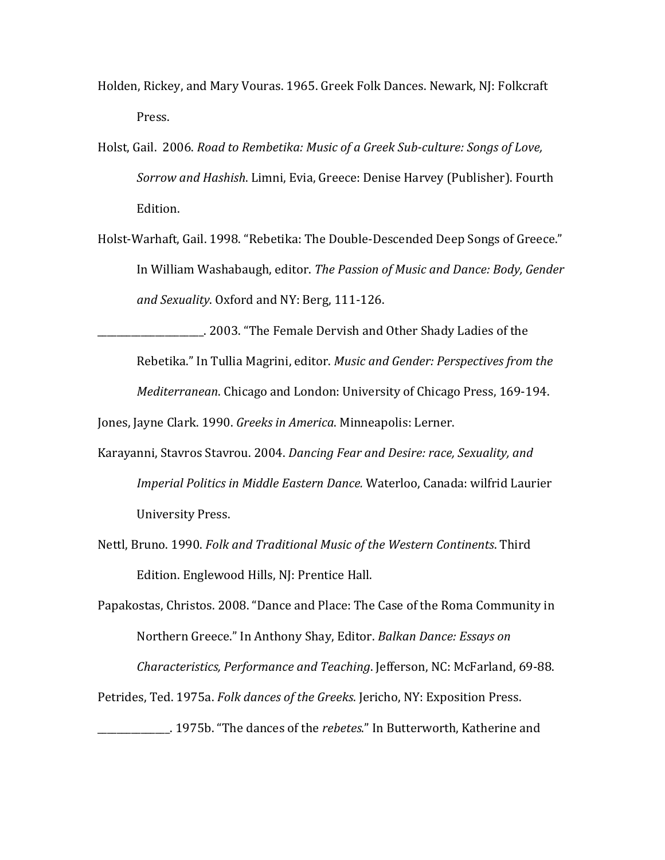- Holden, Rickey, and Mary Vouras. 1965. Greek Folk Dances. Newark, NJ: Folkcraft Press.
- Holst, Gail. 2006. *Road to Rembetika: Music of a Greek Sub-culture: Songs of Love, Sorrow and Hashish*. Limni, Evia, Greece: Denise Harvey (Publisher). Fourth Edition.
- Holst-Warhaft, Gail. 1998. "Rebetika: The Double-Descended Deep Songs of Greece." In William Washabaugh, editor. *The Passion of Music and Dance: Body, Gender and Sexuality*. Oxford and NY: Berg, 111-126.

\_\_\_\_\_\_\_\_\_\_\_\_\_\_\_\_\_\_\_\_\_\_. 2003. "The Female Dervish and Other Shady Ladies of the Rebetika." In Tullia Magrini, editor. *Music and Gender: Perspectives from the Mediterranean*. Chicago and London: University of Chicago Press, 169-194. Jones, Jayne Clark. 1990. *Greeks in America*. Minneapolis: Lerner.

- Karayanni, Stavros Stavrou. 2004. *Dancing Fear and Desire: race, Sexuality, and Imperial Politics in Middle Eastern Dance.* Waterloo, Canada: wilfrid Laurier University Press.
- Nettl, Bruno. 1990. *Folk and Traditional Music of the Western Continents*. Third Edition. Englewood Hills, NJ: Prentice Hall.

Papakostas, Christos. 2008. "Dance and Place: The Case of the Roma Community in Northern Greece." In Anthony Shay, Editor. *Balkan Dance: Essays on Characteristics, Performance and Teaching*. Jefferson, NC: McFarland, 69-88.

Petrides, Ted. 1975a. *Folk dances of the Greeks*. Jericho, NY: Exposition Press.

\_\_\_\_\_\_\_\_\_\_\_\_\_\_\_. 1975b. "The dances of the *rebetes*." In Butterworth, Katherine and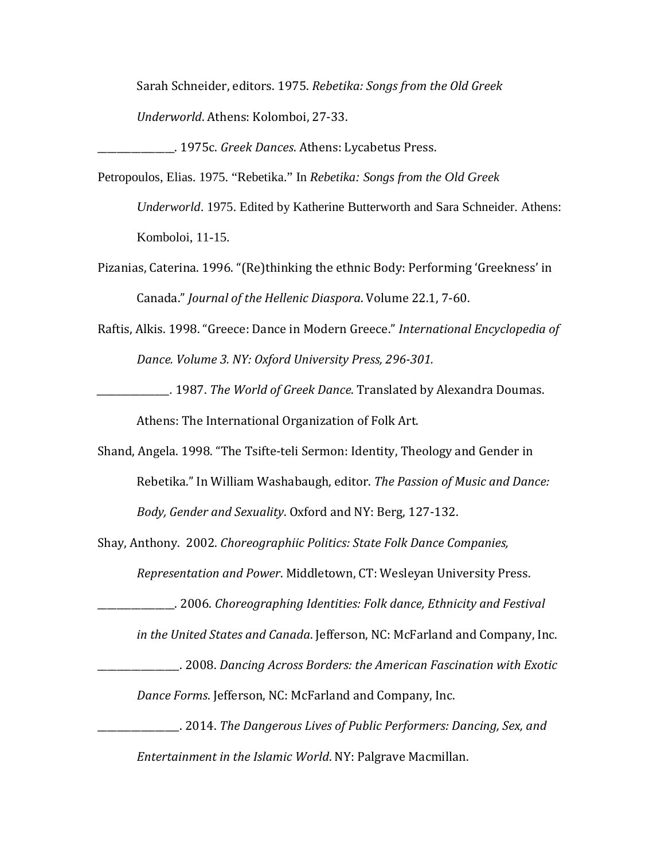Sarah Schneider, editors. 1975. *Rebetika: Songs from the Old Greek Underworld*. Athens: Kolomboi, 27-33.

\_\_\_\_\_\_\_\_\_\_\_\_\_\_\_\_. 1975c. *Greek Dances*. Athens: Lycabetus Press.

Petropoulos, Elias. 1975. "Rebetika." In *Rebetika: Songs from the Old Greek Underworld*. 1975. Edited by Katherine Butterworth and Sara Schneider. Athens: Komboloi, 11-15.

- Pizanias, Caterina. 1996. "(Re)thinking the ethnic Body: Performing 'Greekness' in Canada." *Journal of the Hellenic Diaspora*. Volume 22.1, 7-60.
- Raftis, Alkis. 1998. "Greece: Dance in Modern Greece." *International Encyclopedia of Dance. Volume 3. NY: Oxford University Press, 296-301.*
- *\_\_\_\_\_\_\_\_\_\_\_\_\_\_\_.* 1987. *The World of Greek Dance*. Translated by Alexandra Doumas.

Athens: The International Organization of Folk Art.

Shand, Angela. 1998. "The Tsifte-teli Sermon: Identity, Theology and Gender in Rebetika." In William Washabaugh, editor. *The Passion of Music and Dance: Body, Gender and Sexuality*. Oxford and NY: Berg, 127-132.

Shay, Anthony. 2002. *Choreographiic Politics: State Folk Dance Companies, Representation and Power*. Middletown, CT: Wesleyan University Press.

\_\_\_\_\_\_\_\_\_\_\_\_\_\_\_\_. 2006. *Choreographing Identities: Folk dance, Ethnicity and Festival* 

*in the United States and Canada*. Jefferson, NC: McFarland and Company, Inc.

\_\_\_\_\_\_\_\_\_\_\_\_\_\_\_\_\_. 2008. *Dancing Across Borders: the American Fascination with Exotic* 

*Dance Forms*. Jefferson, NC: McFarland and Company, Inc.

\_\_\_\_\_\_\_\_\_\_\_\_\_\_\_\_\_. 2014. *The Dangerous Lives of Public Performers: Dancing, Sex, and Entertainment in the Islamic World*. NY: Palgrave Macmillan.